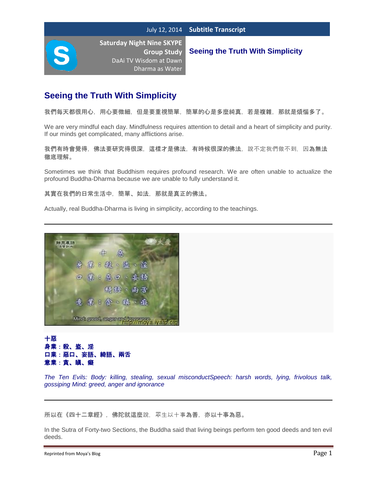**Seeing the Truth With Simplicity**

# **Seeing the Truth With Simplicity**

我們每天都很用心,用心要微細,但是要重視簡單,簡單的心是多麼純真,若是複雜,那就是煩惱多了。

We are very mindful each day. Mindfulness requires attention to detail and a heart of simplicity and purity. If our minds get complicated, many afflictions arise.

我們有時會覺得,佛法要研究得很深,這樣才是佛法,有時候很深的佛法,說不定我們做不到,因為無法 徹底理解。

Sometimes we think that Buddhism requires profound research. We are often unable to actualize the profound Buddha-Dharma because we are unable to fully understand it.

其實在我們的日常生活中,簡單、如法,那就是真正的佛法。

Actually, real Buddha-Dharma is living in simplicity, according to the teachings.



### 十惡 身業:殺、盜、淫 口業:惡口、妄語、綺語、兩舌 意業:貪、瞋、癡

*The Ten Evils: Body: killing, stealing, sexual misconductSpeech: harsh words, lying, frivolous talk, gossiping Mind: greed, anger and ignorance*

所以在《四十二章經》, 佛陀就這麼說, 眾生以十事為善, 亦以十事為惡。

In the Sutra of Forty-two Sections, the Buddha said that living beings perform ten good deeds and ten evil deeds.

Reprinted from Moya's Blog **Page 1** and the Reprinted from Moya's Blog Page 1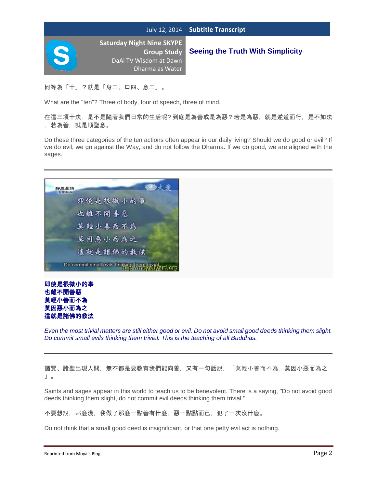

# **Seeing the Truth With Simplicity**

何等為「十」?就是「身三、口四、意三」。

What are the "ten"? Three of body, four of speech, three of mind.

在這三項十法,是不是隨著我們日常的生活呢? 到底是為善或是為惡?若是為惡,就是逆道而行,是不如法 ,若為善,就是順聖意。

Do these three categories of the ten actions often appear in our daily living? Should we do good or evil? If we do evil, we go against the Way, and do not follow the Dharma. If we do good, we are aligned with the sages.





*Even the most trivial matters are still either good or evil. Do not avoid small good deeds thinking them slight. Do commit small evils thinking them trivial. This is the teaching of all Buddhas.*

諸賢、諸聖出現人間,無不都是要教育我們能向善,又有一句話說,「莫輕小善而不為,莫因小惡而為之 」。

Saints and sages appear in this world to teach us to be benevolent. There is a saying, "Do not avoid good deeds thinking them slight, do not commit evil deeds thinking them trivial."

不要想說,那麼淺,我做了那麼一點善有什麼,惡一點點而已,犯了一次沒什麼。

Do not think that a small good deed is insignificant, or that one petty evil act is nothing.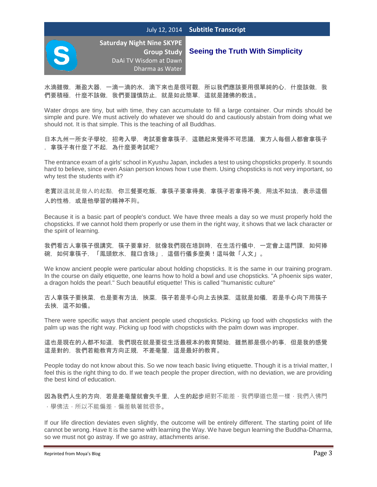

**Seeing the Truth With Simplicity**

水滴雖微,漸盈大器,一滴一滴的水,滴下來也是很可觀,所以我們應該要用很單純的心,什麼該做,我 們要積極,什麼不該做,我們要謹慎防止,就是如此簡單,這就是諸佛的教法。

Water drops are tiny, but with time, they can accumulate to fill a large container. Our minds should be simple and pure. We must actively do whatever we should do and cautiously abstain from doing what we should not. It is that simple. This is the teaching of all Buddhas.

日本九州一所女子學校,招考入學,考試要會拿筷子,這聽起來覺得不可思議,東方人每個人都會拿筷子 ,拿筷子有什麼了不起,為什麼要考試呢?

The entrance exam of a girls' school in Kyushu Japan, includes a test to using chopsticks properly. It sounds hard to believe, since even Asian person knows how t use them. Using chopsticks is not very important, so why test the students with it?

老實說這就是做人的起點,你三餐要吃飯,拿筷子要拿得美,拿筷子若拿得不美,用法不如法,表示這個 人的性格,或是他學習的精神不夠。

Because it is a basic part of people's conduct. We have three meals a day so we must properly hold the chopsticks. If we cannot hold them properly or use them in the right way, it shows that we lack character or the spirit of learning.

我們看古人拿筷子很講究,筷子要拿好,就像我們現在培訓時,在生活行儀中,一定會上這門課,如何捧 碗,如何拿筷子,「鳳頭飲水,龍口含珠」,這個行儀多麼美!這叫做「人文」。

We know ancient people were particular about holding chopsticks. It is the same in our training program. In the course on daily etiquette, one learns how to hold a bowl and use chopsticks. "A phoenix sips water, a dragon holds the pearl." Such beautiful etiquette! This is called "humanistic culture"

古人拿筷子要挾菜,也是要有方法,挾菜,筷子若是手心向上去挾菜,這就是如儀,若是手心向下用筷子 去挾,這不如儀。

There were specific ways that ancient people used chopsticks. Picking up food with chopsticks with the palm up was the right way. Picking up food with chopsticks with the palm down was improper.

這也是現在的人都不知道,我們現在就是要從生活最根本的教育開始,雖然那是很小的事,但是我的感覺 這是對的,我們若能教育方向正規,不差毫釐,這是最好的教育。

People today do not know about this. So we now teach basic living etiquette. Though it is a trivial matter, I feel this is the right thing to do. If we teach people the proper direction, with no deviation, we are providing the best kind of education.

因為我們人生的方向,若是差毫釐就會失千里,人生的起步絕對不能差,我們學道也是一樣,我們入佛門 ,學佛法,所以不能偏差,偏差執著就很多。

If our life direction deviates even slightly, the outcome will be entirely different. The starting point of life cannot be wrong. Have It is the same with learning the Way. We have begun learning the Buddha-Dharma, so we must not go astray. If we go astray, attachments arise.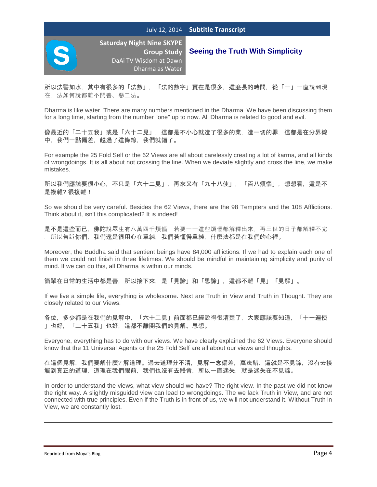

# **Seeing the Truth With Simplicity**

所以法譬如水,其中有很多的「法數」,「法的數字」實在是很多,這麼長的時間,從「一」一直說到現 在,法如何說都離不開善、惡二法。

Dharma is like water. There are many numbers mentioned in the Dharma. We have been discussing them for a long time, starting from the number "one" up to now. All Dharma is related to good and evil.

像最近的「二十五我」或是「六十二見」,這都是不小心就造了很多的業,造一切的罪,這都是在分界線 中,我們一點偏差,越過了這條線,我們就錯了。

For example the 25 Fold Self or the 62 Views are all about carelessly creating a lot of karma, and all kinds of wrongdoings. It is all about not crossing the line. When we deviate slightly and cross the line, we make mistakes.

所以我們應該要很小心,不只是「六十二見」,再來又有「九十八使」,「百八煩惱」,想想看,這是不 是複雜? 很複雜!

So we should be very careful. Besides the 62 Views, there are the 98 Tempters and the 108 Afflictions. Think about it, isn't this complicated? It is indeed!

是不是這些而已,佛陀說眾生有八萬四千煩惱,若要一一這些煩惱都解釋出來,再三世的日子都解釋不完 。所以告訴你們,我們還是很用心在單純,我們若懂得單純,什麼法都是在我們的心裡。

Moreover, the Buddha said that sentient beings have 84,000 afflictions. If we had to explain each one of them we could not finish in three lifetimes. We should be mindful in maintaining simplicity and purity of mind. If we can do this, all Dharma is within our minds.

簡單在日常的生活中都是善,所以接下來,是「見諦」和「思諦」,這都不離「見」「見解」。

If we live a simple life, everything is wholesome. Next are Truth in View and Truth in Thought. They are closely related to our Views.

各位,多少都是在我們的見解中,「六十二見」前面都已經說得很清楚了,大家應該要知道,「十一遍使 」也好,「二十五我」也好,這都不離開我們的見解、思想。

Everyone, everything has to do with our views. We have clearly explained the 62 Views. Everyone should know that the 11 Universal Agents or the 25 Fold Self are all about our views and thoughts.

在這個見解,我們要解什麼? 解道理。過去道理分不清,見解一念偏差,萬法錯,這就是不見諦,沒有去接 觸到真正的道理,道理在我們眼前,我們也沒有去體會,所以一直迷失,就是迷失在不見諦。

In order to understand the views, what view should we have? The right view. In the past we did not know the right way. A slightly misguided view can lead to wrongdoings. The we lack Truth in View, and are not connected with true principles. Even if the Truth is in front of us, we will not understand it. Without Truth in View, we are constantly lost.

Reprinted from Moya's Blog **Page 4** and the Reprinted from Moya's Blog Page 4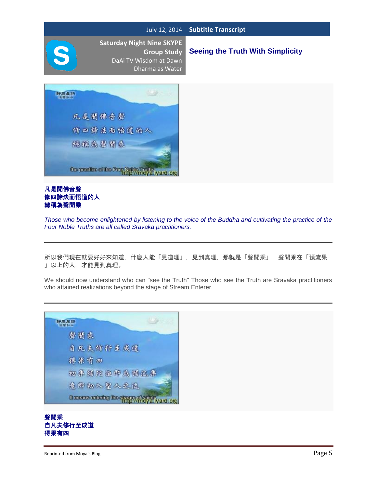# **Seeing the Truth With Simplicity**



#### 凡是聞佛音聲 修四諦法而悟道的人 總稱為聲聞乘

*Those who become enlightened by listening to the voice of the Buddha and cultivating the practice of the Four Noble Truths are all called Sravaka practitioners.*

所以我們現在就要好好來知道,什麼人能「見道理」,見到真理,那就是「聲聞乘」,聲聞乘在「預流果 」以上的人,才能見到真理。

We should now understand who can "see the Truth" Those who see the Truth are Sravaka practitioners who attained realizations beyond the stage of Stream Enterer.



### 聲聞乘 自凡夫修行至成道 得果有四

#### Reprinted from Moya's Blog **Page 5**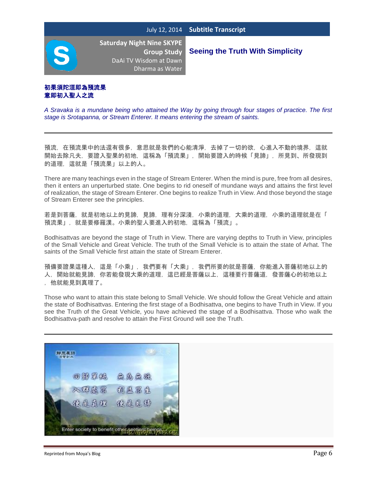**Seeing the Truth With Simplicity**

### 初果須陀洹即為預流果 意即初入聖人之流

*A Sravaka is a mundane being who attained the Way by going through four stages of practice. The first stage is Srotapanna, or Stream Enterer. It means entering the stream of saints.*

預流,在預流果中的法還有很多,意思就是我們的心能清淨,去掉了一切的欲,心進入不動的境界,這就 開始去除凡夫,要證入聖果的初地,這稱為「預流果」,開始要證入的時候「見諦」,所見到、所發現到 的道理,這就是「預流果」以上的人。

There are many teachings even in the stage of Stream Enterer. When the mind is pure, free from all desires, then it enters an unperturbed state. One begins to rid oneself of mundane ways and attains the first level of realization, the stage of Stream Enterer. One begins to realize Truth in View. And those beyond the stage of Stream Enterer see the principles.

若是到菩薩,就是初地以上的見諦,見諦,理有分深淺,小乘的道理,大乘的道理,小乘的道理就是在「 預流果」,就是要修羅漢。小乘的聖人要進入的初地,這稱為「預流」。

Bodhisattvas are beyond the stage of Truth in View. There are varying depths to Truth in View, principles of the Small Vehicle and Great Vehicle. The truth of the Small Vehicle is to attain the state of Arhat. The saints of the Small Vehicle first attain the state of Stream Enterer.

預備要證果這種人,這是「小乘」,我們要有「大乘」,我們所要的就是菩薩,你能進入菩薩初地以上的 人,開始就能見諦,你若能發現大乘的道理,這已經是菩薩以上,這種要行菩薩道,發菩薩心的初地以上 ,他就能見到真理了。

Those who want to attain this state belong to Small Vehicle. We should follow the Great Vehicle and attain the state of Bodhisattvas. Entering the first stage of a Bodhisattva, one begins to have Truth in View. If you see the Truth of the Great Vehicle, you have achieved the stage of a Bodhisattva. Those who walk the Bodhisattva-path and resolve to attain the First Ground will see the Truth.

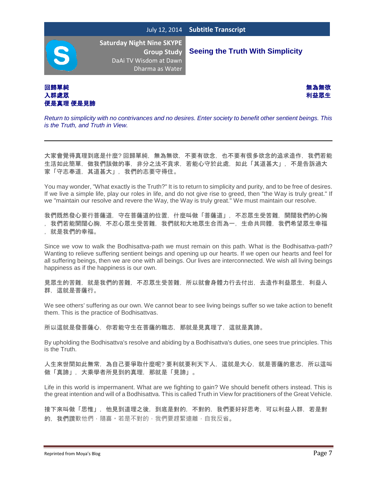**Seeing the Truth With Simplicity**

**Saturday Night Nine SKYPE Group Study**  DaAi TV Wisdom at Dawn Dharma as Water

回歸單純 しょうしょう しょうしょう しょうしょう しょうしょう しゅうしょう かいしょう 無為無欲 入群處眾 わたい しょうかん しょうかん しゅうしょう しゅうしょう かんきょう あいしゃ あいまん 利益眾生 便是真理 便是見諦



*Return to simplicity with no contrivances and no desires. Enter society to benefit other sentient beings. This is the Truth, and Truth in View.*

大家會覺得真理到底是什麼? 回歸單純,無為無欲,不要有欲念,也不要有很多欲念的追求造作,我們若能 生活如此簡單,做我們該做的事,非分之法不貪求,若能心守於此處,如此「其道甚大」,不是告訴過大 家「守志奉道,其道甚大」,我們的志要守得住。

You may wonder, "What exactly is the Truth?" It is to return to simplicity and purity, and to be free of desires. If we live a simple life, play our roles in life, and do not give rise to greed, then "the Way is truly great." If we "maintain our resolve and revere the Way, the Way is truly great." We must maintain our resolve.

我們既然發心要行菩薩道,守在菩薩道的位置,什麼叫做「菩薩道」,不忍眾生受苦難,開闊我們的心胸

- , 我們若能開闊心胸, 不忍心眾生受苦難, 我們就和大地眾生合而為一, 生命共同體, 我們希望眾生幸福
- ,就是我們的幸福。

Since we vow to walk the Bodhisattva-path we must remain on this path. What is the Bodhisattva-path? Wanting to relieve suffering sentient beings and opening up our hearts. If we open our hearts and feel for all suffering beings, then we are one with all beings. Our lives are interconnected. We wish all living beings happiness as if the happiness is our own.

見眾生的苦難,就是我們的苦難,不忍眾生受苦難,所以就會身體力行去付出,去造作利益眾生,利益人 群,這就是菩薩行。

We see others' suffering as our own. We cannot bear to see living beings suffer so we take action to benefit them. This is the practice of Bodhisattvas.

所以這就是發菩薩心,你若能守生在菩薩的職志,那就是見真理了,這就是真諦。

By upholding the Bodhisattva's resolve and abiding by a Bodhisattva's duties, one sees true principles. This is the Truth.

人生來世間如此無常,為自己要爭取什麼呢? 要利就要利天下人,這就是大心,就是菩薩的意志,所以這叫 做「真諦」,大乘學者所見到的真理,那就是「見諦」。

Life in this world is impermanent. What are we fighting to gain? We should benefit others instead. This is the great intention and will of a Bodhisattva. This is called Truth in View for practitioners of the Great Vehicle.

接下來叫做「思惟」,他見到道理之後,到底是對的,不對的,我們要好好思考,可以利益人群,若是對 的, 我們讚歎他們,隨喜。若是不對的,我們要趕緊遠離,自我反省。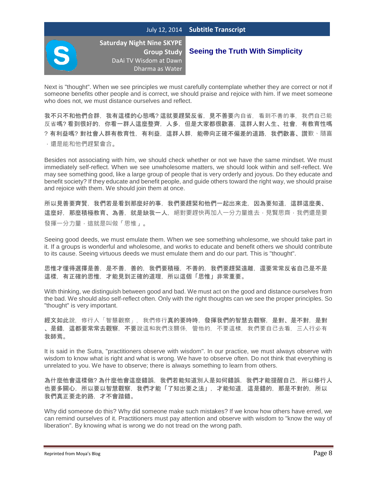#### July 12, 2014 **Subtitle Transcript**



**Saturday Night Nine SKYPE Group Study**  DaAi TV Wisdom at Dawn Dharma as Water

### **Seeing the Truth With Simplicity**

Next is "thought". When we see principles we must carefully contemplate whether they are correct or not if someone benefits other people and is correct, we should praise and rejoice with him. If we meet someone who does not, we must distance ourselves and reflect.

我不只不和他們合群,我有這樣的心態嗎? 這就要趕緊反省, 見不善要內自省, 看到不善的事, 我們自己能 反省嗎? 看到很好的,你看一群人這麼整齊,人多,但是大家都很歡喜,這群人對人生、社會,有教育性嗎 ?有利益嗎?對社會人群有教育性,有利益,這群人群,能帶向正確不偏差的道路,我們歡喜、讚歎、隨喜 ,還是能和他們趕緊會合。

Besides not associating with him, we should check whether or not we have the same mindset. We must immediately self-reflect. When we see unwholesome matters, we should look within and self-reflect. We may see something good, like a large group of people that is very orderly and joyous. Do they educate and benefit society? If they educate and benefit people, and guide others toward the right way, we should praise and rejoice with them. We should join them at once.

所以見善要齊賢,我們若是看到那麼好的事,我們要趕緊和他們一起出來走,因為要知道,這群這麼美、 這麼好,那麼積極教育、為善,就是缺我一人,絕對要趕快再加入一分力量進去,見賢思齊,我們還是要 發揮一分力量,這就是叫做「思惟」。

Seeing good deeds, we must emulate them. When we see something wholesome, we should take part in it. If a groups is wonderful and wholesome, and works to educate and benefit others we should contribute to its cause. Seeing virtuous deeds we must emulate them and do our part. This is "thought".

思惟才懂得選擇是善,是不善,我們要積極,不善的,我們要趕緊遠離,還要常常反省自己是不是 這樣,有正確的思惟,才能見到正確的道理,所以這個「思惟」非常重要。

With thinking, we distinguish between good and bad. We must act on the good and distance ourselves from the bad. We should also self-reflect often. Only with the right thoughts can we see the proper principles. So "thought" is very important.

經文如此說,修行人「智慧觀察」,我們修行真的要時時,發揮我們的智慧去觀察,是對、是不對,是對 、是錯,這都要常常去觀察,不要說這和我們沒關係,管他的,不要這樣,我們要自己去看,三人行必有 我師焉。

It is said in the Sutra, "practitioners observe with wisdom". In our practice, we must always observe with wisdom to know what is right and what is wrong. We have to observe often. Do not think that everything is unrelated to you. We have to observe; there is always something to learn from others.

為什麼他會這樣做? 為什麼他會這麼錯誤,我們若能知道別人是如何錯誤,我們才能提醒自己,所以修行人 也要多關心,所以要以智慧觀察,我們才能「了知出要之法」,才能知道,這是錯的,那是不對的,所以 我們真正要走的路,才不會踏錯。

Why did someone do this? Why did someone make such mistakes? If we know how others have erred, we can remind ourselves of it. Practitioners must pay attention and observe with wisdom to "know the way of liberation". By knowing what is wrong we do not tread on the wrong path.

Reprinted from Moya's Blog **Page 8** and the Reprinted from Moya's Blog Page 8